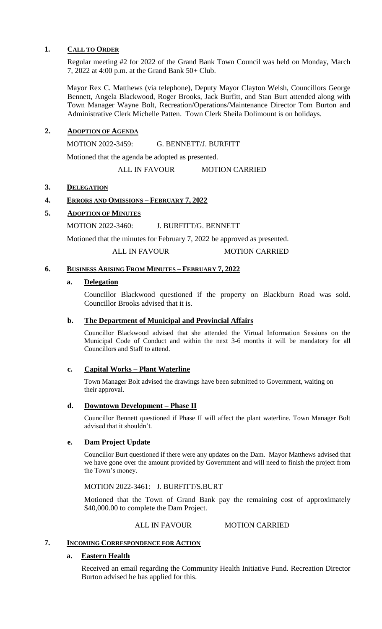## **1. CALL TO ORDER**

Regular meeting #2 for 2022 of the Grand Bank Town Council was held on Monday, March 7, 2022 at 4:00 p.m. at the Grand Bank 50+ Club.

Mayor Rex C. Matthews (via telephone), Deputy Mayor Clayton Welsh, Councillors George Bennett, Angela Blackwood, Roger Brooks, Jack Burfitt, and Stan Burt attended along with Town Manager Wayne Bolt, Recreation/Operations/Maintenance Director Tom Burton and Administrative Clerk Michelle Patten. Town Clerk Sheila Dolimount is on holidays.

# **2. ADOPTION OF AGENDA**

MOTION 2022-3459: G. BENNETT/J. BURFITT

Motioned that the agenda be adopted as presented.

ALL IN FAVOUR MOTION CARRIED

# 3. **DELEGATION**

# **4. ERRORS AND OMISSIONS – FEBRUARY 7, 2022**

# **5. ADOPTION OF MINUTES**

MOTION 2022-3460: J. BURFITT/G. BENNETT

Motioned that the minutes for February 7, 2022 be approved as presented.

ALL IN FAVOUR MOTION CARRIED

# **6. BUSINESS ARISING FROM MINUTES – FEBRUARY 7, 2022**

#### **a. Delegation**

Councillor Blackwood questioned if the property on Blackburn Road was sold. Councillor Brooks advised that it is.

#### **b. The Department of Municipal and Provincial Affairs**

Councillor Blackwood advised that she attended the Virtual Information Sessions on the Municipal Code of Conduct and within the next 3-6 months it will be mandatory for all Councillors and Staff to attend.

# **c. Capital Works – Plant Waterline**

Town Manager Bolt advised the drawings have been submitted to Government, waiting on their approval.

#### **d. Downtown Development – Phase II**

Councillor Bennett questioned if Phase II will affect the plant waterline. Town Manager Bolt advised that it shouldn't.

#### **e. Dam Project Update**

Councillor Burt questioned if there were any updates on the Dam. Mayor Matthews advised that we have gone over the amount provided by Government and will need to finish the project from the Town's money.

MOTION 2022-3461: J. BURFITT/S.BURT

Motioned that the Town of Grand Bank pay the remaining cost of approximately \$40,000.00 to complete the Dam Project.

## ALL IN FAVOUR MOTION CARRIED

# **7. INCOMING CORRESPONDENCE FOR ACTION**

#### **a. Eastern Health**

Received an email regarding the Community Health Initiative Fund. Recreation Director Burton advised he has applied for this.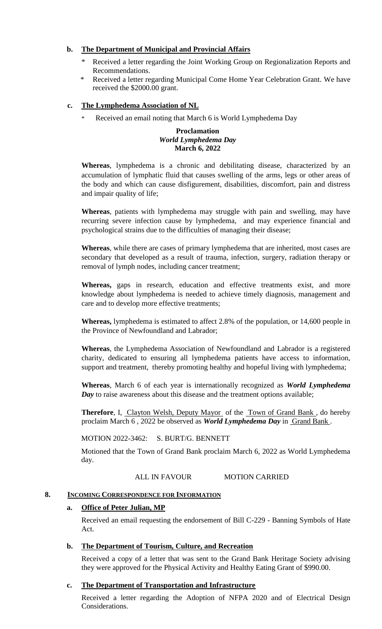# **b. The Department of Municipal and Provincial Affairs**

- Received a letter regarding the Joint Working Group on Regionalization Reports and Recommendations.
- Received a letter regarding Municipal Come Home Year Celebration Grant. We have received the \$2000.00 grant.

# **c. The Lymphedema Association of NL**

Received an email noting that March 6 is World Lymphedema Day

### **Proclamation** *World Lymphedema Day* **March 6, 2022**

**Whereas**, lymphedema is a chronic and debilitating disease, characterized by an accumulation of lymphatic fluid that causes swelling of the arms, legs or other areas of the body and which can cause disfigurement, disabilities, discomfort, pain and distress and impair quality of life;

**Whereas**, patients with lymphedema may struggle with pain and swelling, may have recurring severe infection cause by lymphedema, and may experience financial and psychological strains due to the difficulties of managing their disease;

**Whereas**, while there are cases of primary lymphedema that are inherited, most cases are secondary that developed as a result of trauma, infection, surgery, radiation therapy or removal of lymph nodes, including cancer treatment;

**Whereas,** gaps in research, education and effective treatments exist, and more knowledge about lymphedema is needed to achieve timely diagnosis, management and care and to develop more effective treatments;

**Whereas,** lymphedema is estimated to affect 2.8% of the population, or 14,600 people in the Province of Newfoundland and Labrador;

**Whereas**, the Lymphedema Association of Newfoundland and Labrador is a registered charity, dedicated to ensuring all lymphedema patients have access to information, support and treatment, thereby promoting healthy and hopeful living with lymphedema;

**Whereas**, March 6 of each year is internationally recognized as *World Lymphedema Day* to raise awareness about this disease and the treatment options available;

**Therefore**, I, Clayton Welsh, Deputy Mayor of the Town of Grand Bank, do hereby proclaim March 6 , 2022 be observed as *World Lymphedema Day* in Grand Bank .

MOTION 2022-3462: S. BURT/G. BENNETT

Motioned that the Town of Grand Bank proclaim March 6, 2022 as World Lymphedema day.

# ALL IN FAVOUR MOTION CARRIED

# **8. INCOMING CORRESPONDENCE FOR INFORMATION**

#### **a. Office of Peter Julian, MP**

Received an email requesting the endorsement of Bill C-229 - Banning Symbols of Hate Act.

#### **b. The Department of Tourism, Culture, and Recreation**

Received a copy of a letter that was sent to the Grand Bank Heritage Society advising they were approved for the Physical Activity and Healthy Eating Grant of \$990.00.

#### **c. The Department of Transportation and Infrastructure**

Received a letter regarding the Adoption of NFPA 2020 and of Electrical Design Considerations.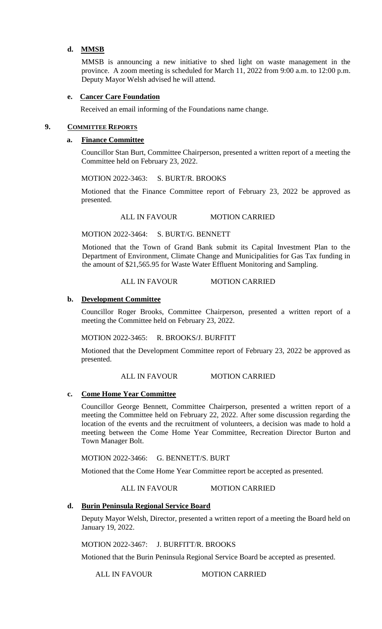# **d. MMSB**

MMSB is announcing a new initiative to shed light on waste management in the province. A zoom meeting is scheduled for March 11, 2022 from 9:00 a.m. to 12:00 p.m. Deputy Mayor Welsh advised he will attend.

# **e. Cancer Care Foundation**

Received an email informing of the Foundations name change.

## **9. COMMITTEE REPORTS**

# **a. Finance Committee**

Councillor Stan Burt, Committee Chairperson, presented a written report of a meeting the Committee held on February 23, 2022.

MOTION 2022-3463: S. BURT/R. BROOKS

Motioned that the Finance Committee report of February 23, 2022 be approved as presented.

ALL IN FAVOUR MOTION CARRIED

MOTION 2022-3464: S. BURT/G. BENNETT

Motioned that the Town of Grand Bank submit its Capital Investment Plan to the Department of Environment, Climate Change and Municipalities for Gas Tax funding in the amount of \$21,565.95 for Waste Water Effluent Monitoring and Sampling.

# ALL IN FAVOUR MOTION CARRIED

#### **b. Development Committee**

Councillor Roger Brooks, Committee Chairperson, presented a written report of a meeting the Committee held on February 23, 2022.

MOTION 2022-3465: R. BROOKS/J. BURFITT

Motioned that the Development Committee report of February 23, 2022 be approved as presented.

#### ALL IN FAVOUR MOTION CARRIED

#### **c. Come Home Year Committee**

Councillor George Bennett, Committee Chairperson, presented a written report of a meeting the Committee held on February 22, 2022. After some discussion regarding the location of the events and the recruitment of volunteers, a decision was made to hold a meeting between the Come Home Year Committee, Recreation Director Burton and Town Manager Bolt.

MOTION 2022-3466: G. BENNETT/S. BURT

Motioned that the Come Home Year Committee report be accepted as presented.

#### ALL IN FAVOUR MOTION CARRIED

#### **d. Burin Peninsula Regional Service Board**

Deputy Mayor Welsh, Director, presented a written report of a meeting the Board held on January 19, 2022.

MOTION 2022-3467: J. BURFITT/R. BROOKS

Motioned that the Burin Peninsula Regional Service Board be accepted as presented.

ALL IN FAVOUR MOTION CARRIED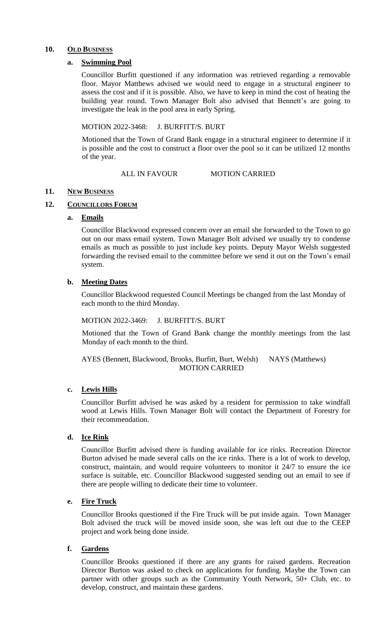#### 10. OLD BUSINESS

#### **a. Swimming Pool**

Councillor Burfitt questioned if any information was retrieved regarding a removable floor. Mayor Matthews advised we would need to engage in a structural engineer to assess the cost and if it is possible. Also, we have to keep in mind the cost of heating the building year round. Town Manager Bolt also advised that Bennett's are going to investigate the leak in the pool area in early Spring.

## MOTION 2022-3468: J. BURFITT/S. BURT

Motioned that the Town of Grand Bank engage in a structural engineer to determine if it is possible and the cost to construct a floor over the pool so it can be utilized 12 months of the year.

#### ALL IN FAVOUR MOTION CARRIED

#### **11. NEW BUSINESS**

#### 12. **COUNCILLORS FORUM**

#### **a. Emails**

Councillor Blackwood expressed concern over an email she forwarded to the Town to go out on our mass email system. Town Manager Bolt advised we usually try to condense emails as much as possible to just include key points. Deputy Mayor Welsh suggested forwarding the revised email to the committee before we send it out on the Town's email system.

#### **b. Meeting Dates**

Councillor Blackwood requested Council Meetings be changed from the last Monday of each month to the third Monday.

#### MOTION 2022-3469: J. BURFITT/S. BURT

Motioned that the Town of Grand Bank change the monthly meetings from the last Monday of each month to the third.

#### AYES (Bennett, Blackwood, Brooks, Burfitt, Burt, Welsh) NAYS (Matthews) MOTION CARRIED

#### **c. Lewis Hills**

Councillor Burfitt advised he was asked by a resident for permission to take windfall wood at Lewis Hills. Town Manager Bolt will contact the Department of Forestry for their recommendation.

#### **d. Ice Rink**

Councillor Burfitt advised there is funding available for ice rinks. Recreation Director Burton advised he made several calls on the ice rinks. There is a lot of work to develop, construct, maintain, and would require volunteers to monitor it 24/7 to ensure the ice surface is suitable, etc. Councillor Blackwood suggested sending out an email to see if there are people willing to dedicate their time to volunteer.

#### **e. Fire Truck**

Councillor Brooks questioned if the Fire Truck will be put inside again. Town Manager Bolt advised the truck will be moved inside soon, she was left out due to the CEEP project and work being done inside.

## **f. Gardens**

Councillor Brooks questioned if there are any grants for raised gardens. Recreation Director Burton was asked to check on applications for funding. Maybe the Town can partner with other groups such as the Community Youth Network, 50+ Club, etc. to develop, construct, and maintain these gardens.